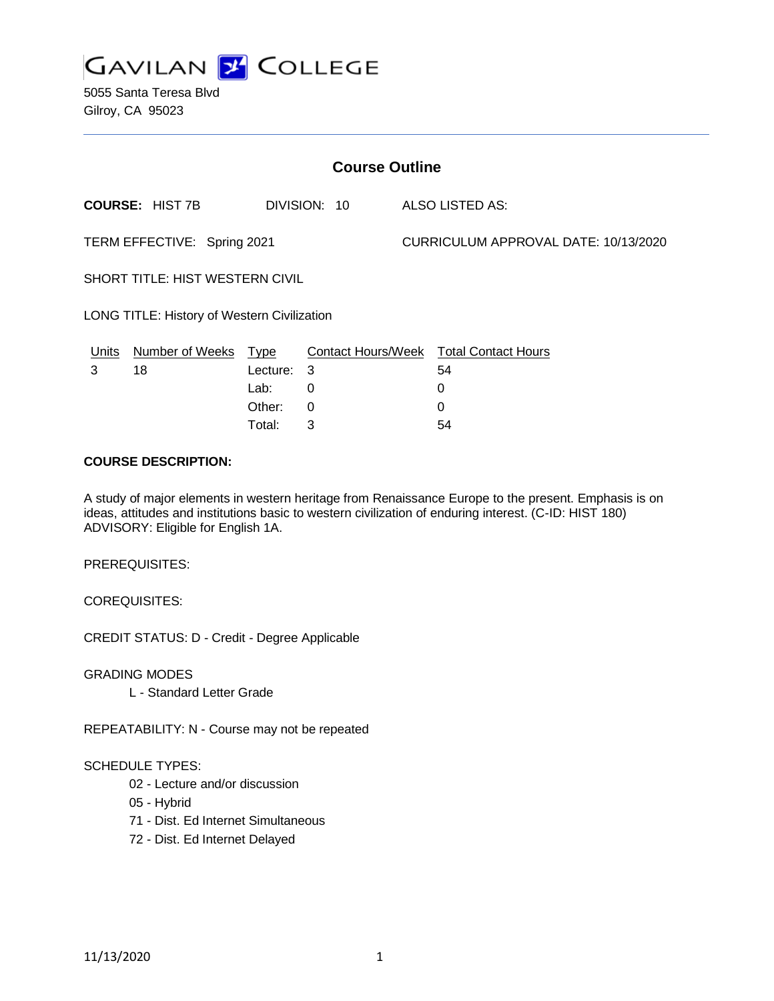

5055 Santa Teresa Blvd Gilroy, CA 95023

| <b>Course Outline</b>                       |                        |          |              |                                      |                                        |
|---------------------------------------------|------------------------|----------|--------------|--------------------------------------|----------------------------------------|
|                                             | <b>COURSE: HIST 7B</b> |          | DIVISION: 10 |                                      | ALSO LISTED AS:                        |
| TERM EFFECTIVE: Spring 2021                 |                        |          |              | CURRICULUM APPROVAL DATE: 10/13/2020 |                                        |
| <b>SHORT TITLE: HIST WESTERN CIVIL</b>      |                        |          |              |                                      |                                        |
| LONG TITLE: History of Western Civilization |                        |          |              |                                      |                                        |
| Units                                       | Number of Weeks Type   |          |              |                                      | Contact Hours/Week Total Contact Hours |
| 3                                           | 18                     | Lecture: | - 3          |                                      | 54                                     |
|                                             |                        | Lab:     | 0            |                                      | 0                                      |
|                                             |                        | Other:   | 0            |                                      | 0                                      |

#### **COURSE DESCRIPTION:**

A study of major elements in western heritage from Renaissance Europe to the present. Emphasis is on ideas, attitudes and institutions basic to western civilization of enduring interest. (C-ID: HIST 180) ADVISORY: Eligible for English 1A.

Total: 3 54

PREREQUISITES:

COREQUISITES:

CREDIT STATUS: D - Credit - Degree Applicable

GRADING MODES

L - Standard Letter Grade

REPEATABILITY: N - Course may not be repeated

#### SCHEDULE TYPES:

- 02 Lecture and/or discussion
- 05 Hybrid
- 71 Dist. Ed Internet Simultaneous
- 72 Dist. Ed Internet Delayed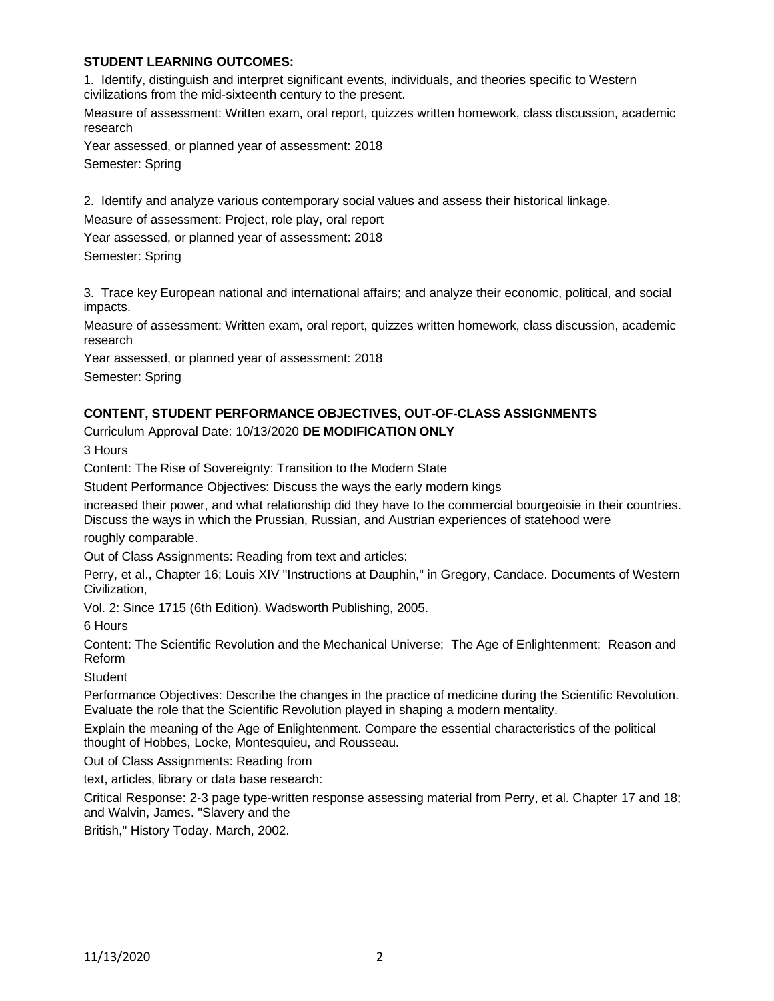## **STUDENT LEARNING OUTCOMES:**

1. Identify, distinguish and interpret significant events, individuals, and theories specific to Western civilizations from the mid-sixteenth century to the present.

Measure of assessment: Written exam, oral report, quizzes written homework, class discussion, academic research

Year assessed, or planned year of assessment: 2018 Semester: Spring

2. Identify and analyze various contemporary social values and assess their historical linkage.

Measure of assessment: Project, role play, oral report

Year assessed, or planned year of assessment: 2018

Semester: Spring

3. Trace key European national and international affairs; and analyze their economic, political, and social impacts.

Measure of assessment: Written exam, oral report, quizzes written homework, class discussion, academic research

Year assessed, or planned year of assessment: 2018

Semester: Spring

#### **CONTENT, STUDENT PERFORMANCE OBJECTIVES, OUT-OF-CLASS ASSIGNMENTS**

Curriculum Approval Date: 10/13/2020 **DE MODIFICATION ONLY**

3 Hours

Content: The Rise of Sovereignty: Transition to the Modern State

Student Performance Objectives: Discuss the ways the early modern kings

increased their power, and what relationship did they have to the commercial bourgeoisie in their countries. Discuss the ways in which the Prussian, Russian, and Austrian experiences of statehood were roughly comparable.

Out of Class Assignments: Reading from text and articles:

Perry, et al., Chapter 16; Louis XIV "Instructions at Dauphin," in Gregory, Candace. Documents of Western Civilization,

Vol. 2: Since 1715 (6th Edition). Wadsworth Publishing, 2005.

6 Hours

Content: The Scientific Revolution and the Mechanical Universe; The Age of Enlightenment: Reason and Reform

**Student** 

Performance Objectives: Describe the changes in the practice of medicine during the Scientific Revolution. Evaluate the role that the Scientific Revolution played in shaping a modern mentality.

Explain the meaning of the Age of Enlightenment. Compare the essential characteristics of the political thought of Hobbes, Locke, Montesquieu, and Rousseau.

Out of Class Assignments: Reading from

text, articles, library or data base research:

Critical Response: 2-3 page type-written response assessing material from Perry, et al. Chapter 17 and 18; and Walvin, James. "Slavery and the

British," History Today. March, 2002.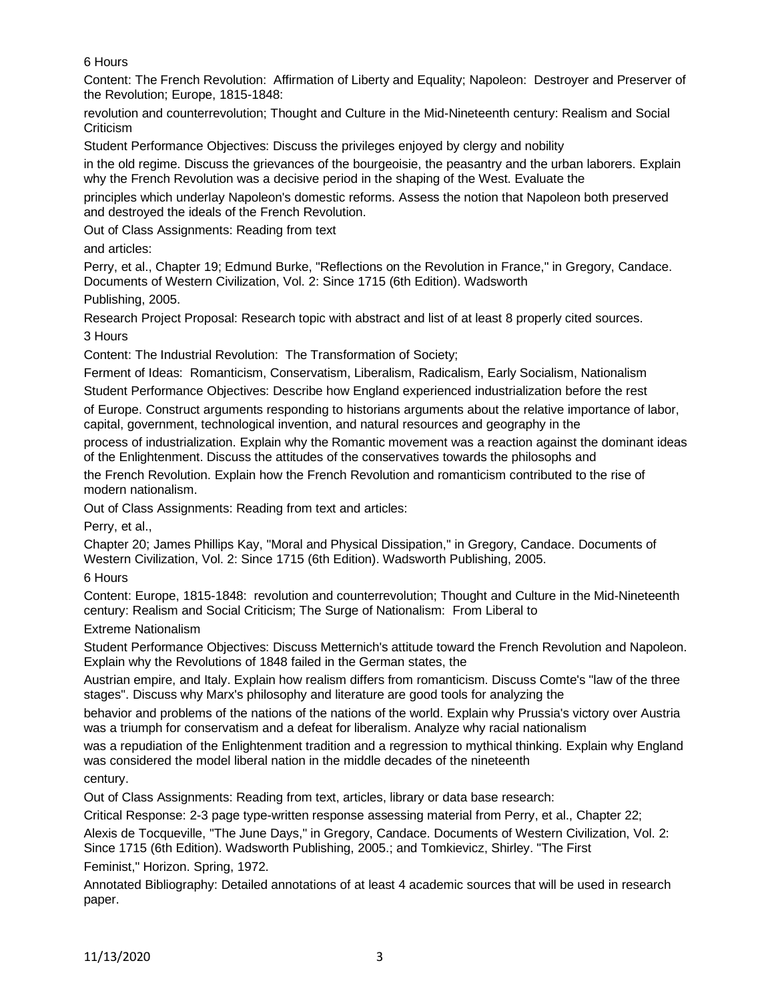6 Hours

Content: The French Revolution: Affirmation of Liberty and Equality; Napoleon: Destroyer and Preserver of the Revolution; Europe, 1815-1848:

revolution and counterrevolution; Thought and Culture in the Mid-Nineteenth century: Realism and Social **Criticism** 

Student Performance Objectives: Discuss the privileges enjoyed by clergy and nobility

in the old regime. Discuss the grievances of the bourgeoisie, the peasantry and the urban laborers. Explain why the French Revolution was a decisive period in the shaping of the West. Evaluate the

principles which underlay Napoleon's domestic reforms. Assess the notion that Napoleon both preserved and destroyed the ideals of the French Revolution.

Out of Class Assignments: Reading from text

and articles:

Perry, et al., Chapter 19; Edmund Burke, "Reflections on the Revolution in France," in Gregory, Candace. Documents of Western Civilization, Vol. 2: Since 1715 (6th Edition). Wadsworth

Publishing, 2005.

Research Project Proposal: Research topic with abstract and list of at least 8 properly cited sources. 3 Hours

Content: The Industrial Revolution: The Transformation of Society;

Ferment of Ideas: Romanticism, Conservatism, Liberalism, Radicalism, Early Socialism, Nationalism Student Performance Objectives: Describe how England experienced industrialization before the rest

of Europe. Construct arguments responding to historians arguments about the relative importance of labor, capital, government, technological invention, and natural resources and geography in the

process of industrialization. Explain why the Romantic movement was a reaction against the dominant ideas of the Enlightenment. Discuss the attitudes of the conservatives towards the philosophs and

the French Revolution. Explain how the French Revolution and romanticism contributed to the rise of modern nationalism.

Out of Class Assignments: Reading from text and articles:

Perry, et al.,

Chapter 20; James Phillips Kay, "Moral and Physical Dissipation," in Gregory, Candace. Documents of Western Civilization, Vol. 2: Since 1715 (6th Edition). Wadsworth Publishing, 2005.

6 Hours

Content: Europe, 1815-1848: revolution and counterrevolution; Thought and Culture in the Mid-Nineteenth century: Realism and Social Criticism; The Surge of Nationalism: From Liberal to

Extreme Nationalism

Student Performance Objectives: Discuss Metternich's attitude toward the French Revolution and Napoleon. Explain why the Revolutions of 1848 failed in the German states, the

Austrian empire, and Italy. Explain how realism differs from romanticism. Discuss Comte's "law of the three stages". Discuss why Marx's philosophy and literature are good tools for analyzing the

behavior and problems of the nations of the nations of the world. Explain why Prussia's victory over Austria was a triumph for conservatism and a defeat for liberalism. Analyze why racial nationalism

was a repudiation of the Enlightenment tradition and a regression to mythical thinking. Explain why England was considered the model liberal nation in the middle decades of the nineteenth

century.

Out of Class Assignments: Reading from text, articles, library or data base research:

Critical Response: 2-3 page type-written response assessing material from Perry, et al., Chapter 22;

Alexis de Tocqueville, "The June Days," in Gregory, Candace. Documents of Western Civilization, Vol. 2: Since 1715 (6th Edition). Wadsworth Publishing, 2005.; and Tomkievicz, Shirley. "The First

Feminist," Horizon. Spring, 1972.

Annotated Bibliography: Detailed annotations of at least 4 academic sources that will be used in research paper.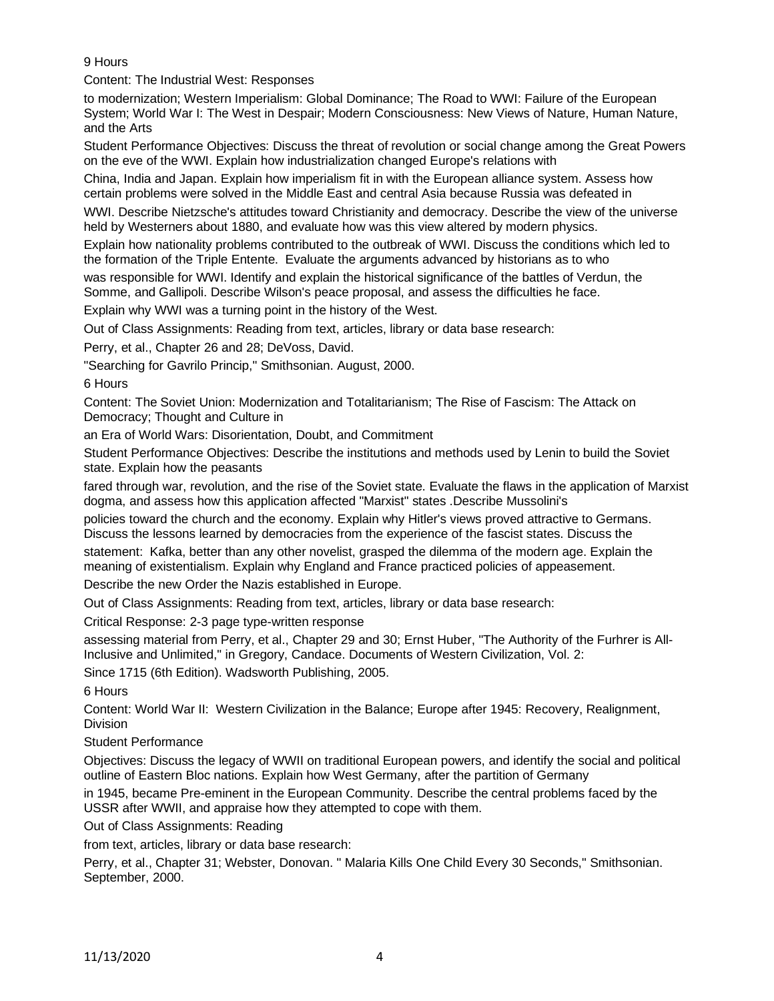## 9 Hours

Content: The Industrial West: Responses

to modernization; Western Imperialism: Global Dominance; The Road to WWI: Failure of the European System; World War I: The West in Despair; Modern Consciousness: New Views of Nature, Human Nature, and the Arts

Student Performance Objectives: Discuss the threat of revolution or social change among the Great Powers on the eve of the WWI. Explain how industrialization changed Europe's relations with

China, India and Japan. Explain how imperialism fit in with the European alliance system. Assess how certain problems were solved in the Middle East and central Asia because Russia was defeated in

WWI. Describe Nietzsche's attitudes toward Christianity and democracy. Describe the view of the universe held by Westerners about 1880, and evaluate how was this view altered by modern physics.

Explain how nationality problems contributed to the outbreak of WWI. Discuss the conditions which led to the formation of the Triple Entente. Evaluate the arguments advanced by historians as to who

was responsible for WWI. Identify and explain the historical significance of the battles of Verdun, the Somme, and Gallipoli. Describe Wilson's peace proposal, and assess the difficulties he face.

Explain why WWI was a turning point in the history of the West.

Out of Class Assignments: Reading from text, articles, library or data base research:

Perry, et al., Chapter 26 and 28; DeVoss, David.

"Searching for Gavrilo Princip," Smithsonian. August, 2000.

6 Hours

Content: The Soviet Union: Modernization and Totalitarianism; The Rise of Fascism: The Attack on Democracy; Thought and Culture in

an Era of World Wars: Disorientation, Doubt, and Commitment

Student Performance Objectives: Describe the institutions and methods used by Lenin to build the Soviet state. Explain how the peasants

fared through war, revolution, and the rise of the Soviet state. Evaluate the flaws in the application of Marxist dogma, and assess how this application affected "Marxist" states .Describe Mussolini's

policies toward the church and the economy. Explain why Hitler's views proved attractive to Germans. Discuss the lessons learned by democracies from the experience of the fascist states. Discuss the

statement: Kafka, better than any other novelist, grasped the dilemma of the modern age. Explain the meaning of existentialism. Explain why England and France practiced policies of appeasement.

Describe the new Order the Nazis established in Europe.

Out of Class Assignments: Reading from text, articles, library or data base research:

Critical Response: 2-3 page type-written response

assessing material from Perry, et al., Chapter 29 and 30; Ernst Huber, "The Authority of the Furhrer is All-Inclusive and Unlimited," in Gregory, Candace. Documents of Western Civilization, Vol. 2:

Since 1715 (6th Edition). Wadsworth Publishing, 2005.

6 Hours

Content: World War II: Western Civilization in the Balance; Europe after 1945: Recovery, Realignment, **Division** 

Student Performance

Objectives: Discuss the legacy of WWII on traditional European powers, and identify the social and political outline of Eastern Bloc nations. Explain how West Germany, after the partition of Germany

in 1945, became Pre-eminent in the European Community. Describe the central problems faced by the USSR after WWII, and appraise how they attempted to cope with them.

Out of Class Assignments: Reading

from text, articles, library or data base research:

Perry, et al., Chapter 31; Webster, Donovan. " Malaria Kills One Child Every 30 Seconds," Smithsonian. September, 2000.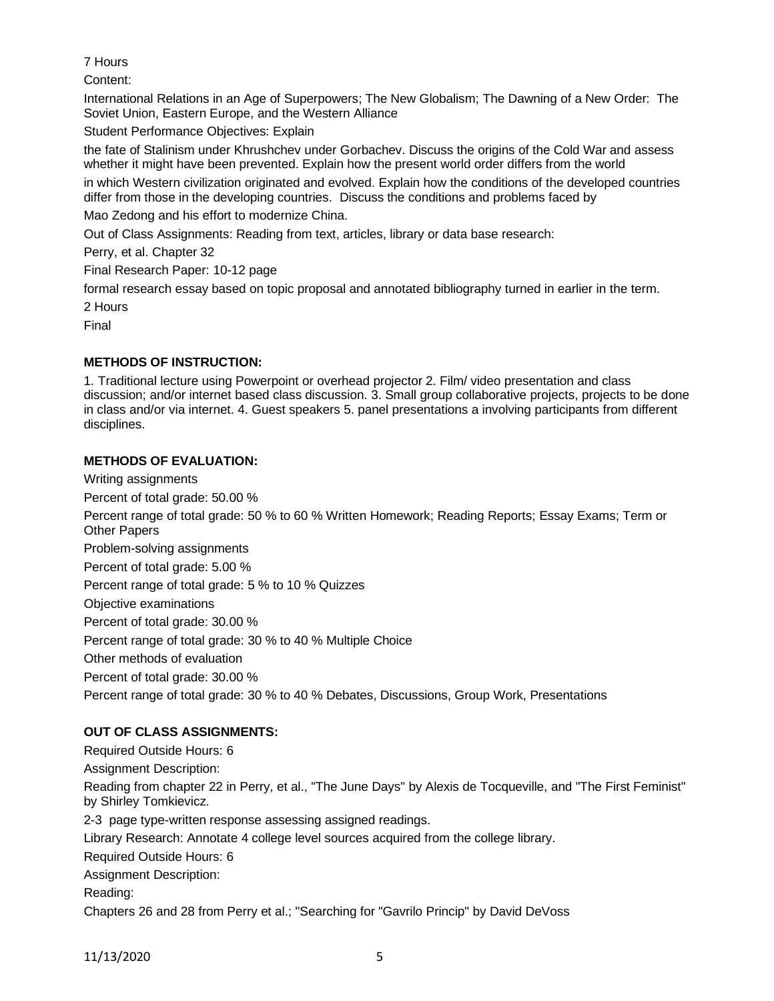# 7 Hours

Content:

International Relations in an Age of Superpowers; The New Globalism; The Dawning of a New Order: The Soviet Union, Eastern Europe, and the Western Alliance

Student Performance Objectives: Explain

the fate of Stalinism under Khrushchev under Gorbachev. Discuss the origins of the Cold War and assess whether it might have been prevented. Explain how the present world order differs from the world

in which Western civilization originated and evolved. Explain how the conditions of the developed countries differ from those in the developing countries. Discuss the conditions and problems faced by

Mao Zedong and his effort to modernize China.

Out of Class Assignments: Reading from text, articles, library or data base research:

Perry, et al. Chapter 32

Final Research Paper: 10-12 page

formal research essay based on topic proposal and annotated bibliography turned in earlier in the term. 2 Hours

Final

# **METHODS OF INSTRUCTION:**

1. Traditional lecture using Powerpoint or overhead projector 2. Film/ video presentation and class discussion; and/or internet based class discussion. 3. Small group collaborative projects, projects to be done in class and/or via internet. 4. Guest speakers 5. panel presentations a involving participants from different disciplines.

## **METHODS OF EVALUATION:**

Writing assignments Percent of total grade: 50.00 % Percent range of total grade: 50 % to 60 % Written Homework; Reading Reports; Essay Exams; Term or Other Papers Problem-solving assignments Percent of total grade: 5.00 % Percent range of total grade: 5 % to 10 % Quizzes Objective examinations Percent of total grade: 30.00 % Percent range of total grade: 30 % to 40 % Multiple Choice Other methods of evaluation Percent of total grade: 30.00 % Percent range of total grade: 30 % to 40 % Debates, Discussions, Group Work, Presentations

# **OUT OF CLASS ASSIGNMENTS:**

Required Outside Hours: 6 Assignment Description: Reading from chapter 22 in Perry, et al., "The June Days" by Alexis de Tocqueville, and "The First Feminist" by Shirley Tomkievicz. 2-3 page type-written response assessing assigned readings. Library Research: Annotate 4 college level sources acquired from the college library. Required Outside Hours: 6 Assignment Description: Reading: Chapters 26 and 28 from Perry et al.; "Searching for "Gavrilo Princip" by David DeVoss